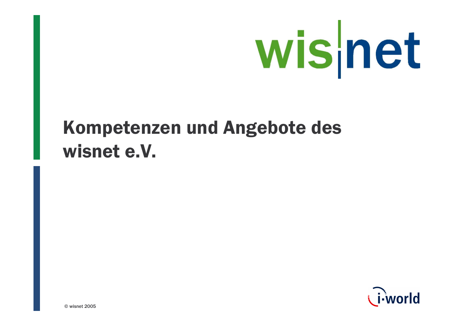

## Kompetenzen und Angebote des wisnet e.V.

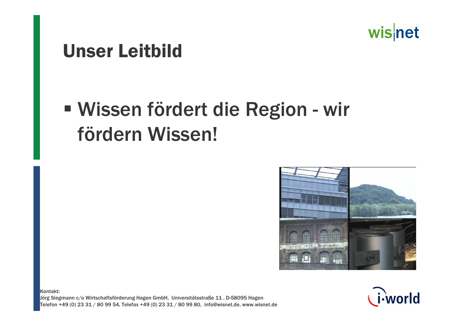

#### **Unser Leitbild**

# · Wissen fördert die Region - wir fördern Wissen!





Kontakt: Jörg Siegmann c/o Wirtschaftsförderung Hagen GmbH, Universitätsstraße 11, D-58095 Hagen Telefon +49 (0) 23 31 / 80 99 54, Telefax +49 (0) 23 31 / 80 99 80, info@wisnet.de, www.wisnet.de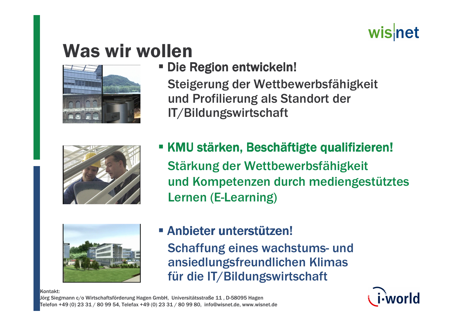## wisnet

### **Was wir wollen**



#### **- Die Region entwickeln!**

Steigerung der Wettbewerbsfähigkeit und Profilierung als Standort der IT/Bildungswirtschaft



**KMU stärken, Beschäftigte qualifizieren!** Stärkung der Wettbewerbsfähigkeit und Kompetenzen durch mediengestütztes **Lernen (E-Learning)** 



#### **- Anbieter unterstützen!**

**Schaffung eines wachstums- und** ansiedlungsfreundlichen Klimas für die IT/Bildungswirtschaft

Kontakt:



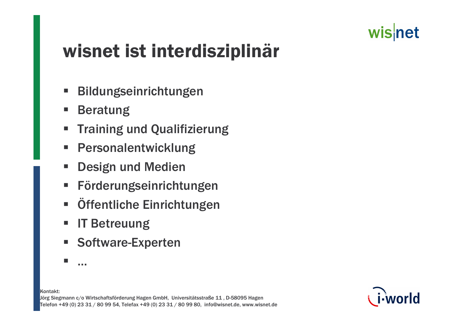### wisnet

# wisnet ist interdisziplinär

- Bildungseinrichtungen  $\overline{\phantom{a}}$
- **Beratung**  $\blacksquare$
- **Training und Qualifizierung**
- Personalentwicklung  $\blacksquare$
- **Design und Medien**  $\Box$
- Förderungseinrichtungen
- Öffentliche Einrichtungen  $\blacksquare$
- **IT Betreuung**  $\blacksquare$
- **Software-Experten**
- П  $0.000$



Kontakt: Jörg Siegmann c/o Wirtschaftsförderung Hagen GmbH, Universitätsstraße 11, D-58095 Hagen Telefon +49 (0) 23 31 / 80 99 54, Telefax +49 (0) 23 31 / 80 99 80, info@wisnet.de, www.wisnet.de